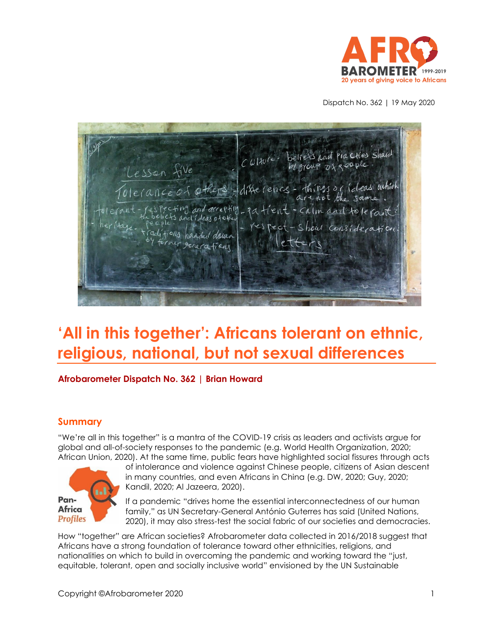

Dispatch No. 362 | 19 May 2020

Pla Cties Shard  $|U|$  to  $|e|$ . Lesson five le cance of others cting and accepting  $R$   $A$ evit  $C_{\Lambda}$ lm and and ideas of of fious handed down rmer generation

# **'All in this together': Africans tolerant on ethnic, religious, national, but not sexual differences**

#### **Afrobarometer Dispatch No. 362 | Brian Howard**

#### **Summary**

"We're all in this together" is a mantra of the COVID-19 crisis as leaders and activists argue for global and all-of-society responses to the pandemic (e.g. World Health Organization, 2020; African Union, 2020). At the same time, public fears have highlighted social fissures through acts



of intolerance and violence against Chinese people, citizens of Asian descent in many countries, and even Africans in China (e.g. DW, 2020; Guy, 2020; Kandil, 2020; Al Jazeera, 2020).

If a pandemic "drives home the essential interconnectedness of our human family," as UN Secretary-General António Guterres has said (United Nations, 2020), it may also stress-test the social fabric of our societies and democracies.

How "together" are African societies? Afrobarometer data collected in 2016/2018 suggest that Africans have a strong foundation of tolerance toward other ethnicities, religions, and nationalities on which to build in overcoming the pandemic and working toward the "just, equitable, tolerant, open and socially inclusive world" envisioned by the UN Sustainable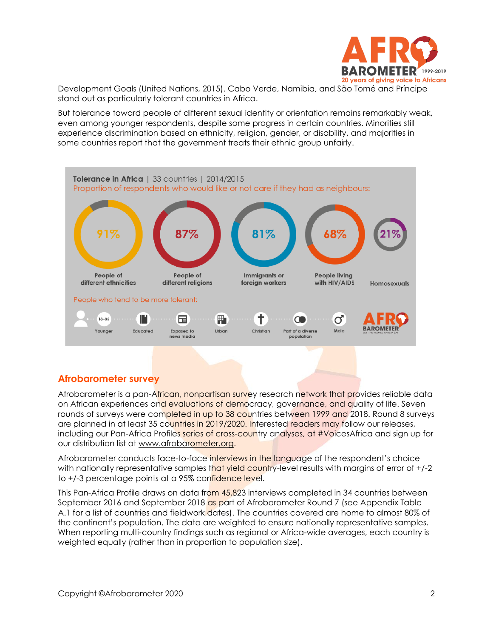

Development Goals (United Nations, 2015). Cabo Verde, Namibia, and São Tomé and Príncipe stand out as particularly tolerant countries in Africa.

But tolerance toward people of different sexual identity or orientation remains remarkably weak, even among younger respondents, despite some progress in certain countries. Minorities still experience discrimination based on ethnicity, religion, gender, or disability, and majorities in some countries report that the government treats their ethnic group unfairly.



# **Afrobarometer survey**

Afrobarometer is a pan-African, nonpartisan survey research network that provides reliable data on African experiences and evaluations of democracy, governance, and quality of life. Seven rounds of surveys were completed in up to 38 countries between 1999 and 2018. Round 8 surveys are planned in at least 35 countries in 2019/2020. Interested readers may follow our releases, including our Pan-Africa Profiles series of cross-country analyses, at #VoicesAfrica and sign up for our distribution list at [www.afrobarometer.org.](http://www.afrobarometer.org/)

Afrobarometer conducts face-to-face interviews in the language of the respondent's choice with nationally representative samples that yield country-level results with margins of error of  $+/-2$ to +/-3 percentage points at a 95% confidence level.

This Pan-Africa Profile draws on data from 45,823 interviews completed in 34 countries between September 2016 and September 2018 as part of Afrobarometer Round 7 (see Appendix Table A.1 for a list of countries and fieldwork dates). The countries covered are home to almost 80% of the continent's population. The data are weighted to ensure nationally representative samples. When reporting multi-country findings such as regional or Africa-wide averages, each country is weighted equally (rather than in proportion to population size).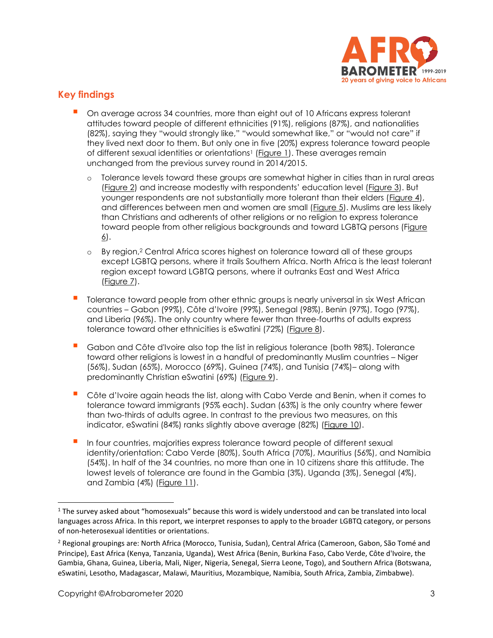

# **Key findings**

- On average across 34 countries, more than eight out of 10 Africans express tolerant attitudes toward people of different ethnicities (91%), religions (87%), and nationalities (82%), saying they "would strongly like," "would somewhat like," or "would not care" if they lived next door to them. But only one in five (20%) express tolerance toward people of different sexual identities or orientations<sup>1</sup> [\(Figure 1\)](#page-4-0). These averages remain unchanged from the previous survey round in 2014/2015.
	- o Tolerance levels toward these groups are somewhat higher in cities than in rural areas [\(Figure 2\)](#page-4-1) and increase modestly with respondents' education level ([Figure 3\)](#page-5-0). But younger respondents are not substantially more tolerant than their elders [\(Figure 4\)](#page-5-1), and differences between men and women are small [\(Figure 5\)](#page-6-0). Muslims are less likely than Christians and adherents of other religions or no religion to express tolerance toward people from other religious backgrounds and toward LGBTQ persons ([Figure](#page-6-1)  [6\)](#page-6-1).
	- o By region,<sup>2</sup> Central Africa scores highest on tolerance toward all of these groups except LGBTQ persons, where it trails Southern Africa. North Africa is the least tolerant region except toward LGBTQ persons, where it outranks East and West Africa [\(Figure 7\)](#page-7-0).
- **T** Tolerance toward people from other ethnic groups is nearly universal in six West African countries – Gabon (99%), Côte d'Ivoire (99%), Senegal (98%), Benin (97%), Togo (97%), and Liberia (96%). The only country where fewer than three-fourths of adults express tolerance toward other ethnicities is eSwatini (72%) [\(Figure 8\)](#page-8-0).
- Gabon and Côte d'Ivoire also top the list in religious tolerance (both 98%). Tolerance toward other religions is lowest in a handful of predominantly Muslim countries – Niger (56%), Sudan (65%), Morocco (69%), Guinea (74%), and Tunisia (74%)– along with predominantly Christian eSwatini (69%) [\(Figure 9\)](#page-9-0).
- Côte d'Ivoire again heads the list, along with Cabo Verde and Benin, when it comes to tolerance toward immigrants (95% each). Sudan (63%) is the only country where fewer than two-thirds of adults agree. In contrast to the previous two measures, on this indicator, eSwatini (84%) ranks slightly above average (82%) [\(Figure 10\)](#page-10-0).
- In four countries, majorities express tolerance toward people of different sexual identity/orientation: Cabo Verde (80%), South Africa (70%), Mauritius (56%), and Namibia (54%). In half of the 34 countries, no more than one in 10 citizens share this attitude. The lowest levels of tolerance are found in the Gambia (3%), Uganda (3%), Senegal (4%), and Zambia (4%) [\(Figure 11\)](#page-11-0).

<sup>1</sup> The survey asked about "homosexuals" because this word is widely understood and can be translated into local languages across Africa. In this report, we interpret responses to apply to the broader LGBTQ category, or persons of non-heterosexual identities or orientations.

<sup>&</sup>lt;sup>2</sup> Regional groupings are: North Africa (Morocco, Tunisia, Sudan), Central Africa (Cameroon, Gabon, São Tomé and Principe), East Africa (Kenya, Tanzania, Uganda), West Africa (Benin, Burkina Faso, Cabo Verde, Côte d'Ivoire, the Gambia, Ghana, Guinea, Liberia, Mali, Niger, Nigeria, Senegal, Sierra Leone, Togo), and Southern Africa (Botswana, eSwatini, Lesotho, Madagascar, Malawi, Mauritius, Mozambique, Namibia, South Africa, Zambia, Zimbabwe).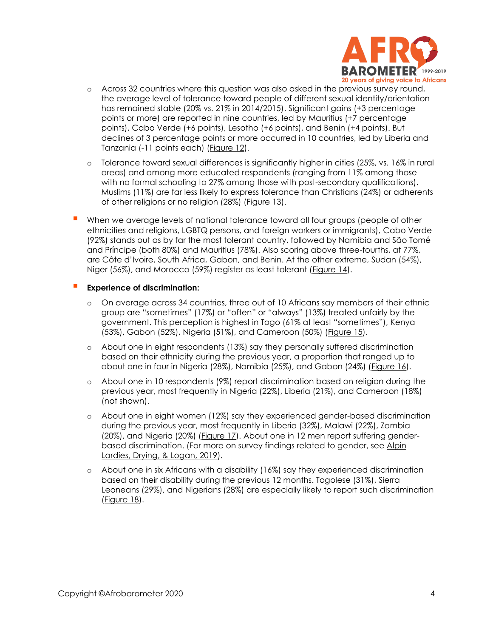

- o Across 32 countries where this question was also asked in the previous survey round, the average level of tolerance toward people of different sexual identity/orientation has remained stable (20% vs. 21% in 2014/2015). Significant gains (+3 percentage points or more) are reported in nine countries, led by Mauritius (+7 percentage points), Cabo Verde (+6 points), Lesotho (+6 points), and Benin (+4 points). But declines of 3 percentage points or more occurred in 10 countries, led by Liberia and Tanzania (-11 points each) [\(Figure 12\)](#page-12-0).
- o Tolerance toward sexual differences is significantly higher in cities (25%, vs. 16% in rural areas) and among more educated respondents (ranging from 11% among those with no formal schooling to 27% among those with post-secondary qualifications). Muslims (11%) are far less likely to express tolerance than Christians (24%) or adherents of other religions or no religion (28%) [\(Figure 13\)](#page-13-0).
- When we average levels of national tolerance toward all four groups (people of other ethnicities and religions, LGBTQ persons, and foreign workers or immigrants), Cabo Verde (92%) stands out as by far the most tolerant country, followed by Namibia and São Tomé and Príncipe (both 80%) and Mauritius (78%). Also scoring above three-fourths, at 77%, are Côte d'Ivoire, South Africa, Gabon, and Benin. At the other extreme, Sudan (54%), Niger (56%), and Morocco (59%) register as least tolerant [\(Figure 14\)](#page-14-0).

#### ▪ **Experience of discrimination:**

- o On average across 34 countries, three out of 10 Africans say members of their ethnic group are "sometimes" (17%) or "often" or "always" (13%) treated unfairly by the government. This perception is highest in Togo (61% at least "sometimes"), Kenya (53%), Gabon (52%), Nigeria (51%), and Cameroon (50%) [\(Figure 15\)](#page-15-0).
- o About one in eight respondents (13%) say they personally suffered discrimination based on their ethnicity during the previous year, a proportion that ranged up to about one in four in Nigeria (28%), Namibia (25%), and Gabon (24%) [\(Figure 16\)](#page-16-0).
- o About one in 10 respondents (9%) report discrimination based on religion during the previous year, most frequently in Nigeria (22%), Liberia (21%), and Cameroon (18%) (not shown).
- o About one in eight women (12%) say they experienced gender-based discrimination during the previous year, most frequently in Liberia (32%), Malawi (22%), Zambia (20%), and Nigeria (20%) [\(Figure 17\)](#page-17-0). About one in 12 men report suffering genderbased discrimination. (For more on survey findings related to gender, see [Alpin](http://afrobarometer.org/sites/default/files/publications/Policy%20papers/ab_r7_policypaperno61_gains_and_gaps_gender_perceptions_in_africa.pdf)  [Lardies, Drying, & Logan, 2019\)](http://afrobarometer.org/sites/default/files/publications/Policy%20papers/ab_r7_policypaperno61_gains_and_gaps_gender_perceptions_in_africa.pdf).
- o About one in six Africans with a disability (16%) say they experienced discrimination based on their disability during the previous 12 months. Togolese (31%), Sierra Leoneans (29%), and Nigerians (28%) are especially likely to report such discrimination [\(Figure 18\)](#page-18-0).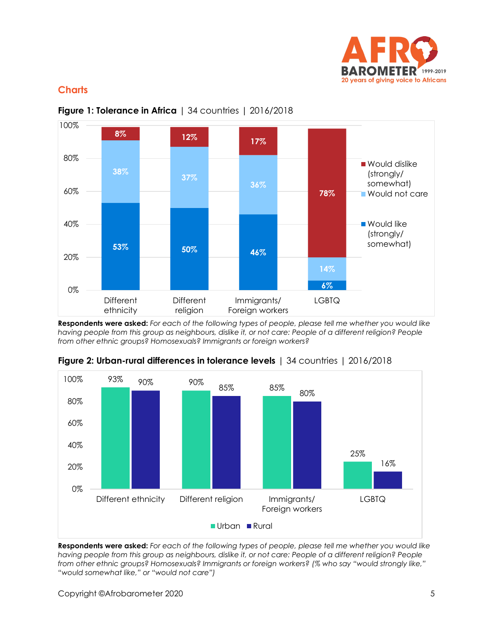

# **Charts**



## <span id="page-4-0"></span>**Figure 1: Tolerance in Africa** | 34 countries | 2016/2018

**Respondents were asked:** *For each of the following types of people, please tell me whether you would like*  having people from this group as neighbours, dislike it, or not care: People of a different religion? People *from other ethnic groups? Homosexuals? Immigrants or foreign workers?*



<span id="page-4-1"></span>**Figure 2: Urban-rural differences in tolerance levels** | 34 countries | 2016/2018

**Respondents were asked:** *For each of the following types of people, please tell me whether you would like*  having people from this group as neighbours, dislike it, or not care: People of a different religion? People *from other ethnic groups? Homosexuals? Immigrants or foreign workers? (% who say "would strongly like," "would somewhat like," or "would not care")*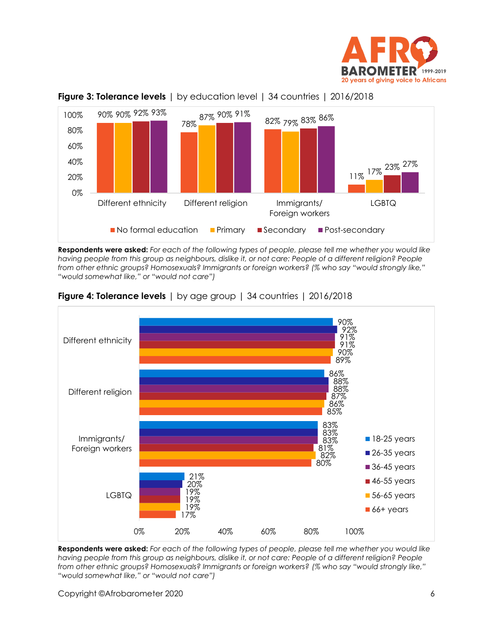



<span id="page-5-0"></span>

**Respondents were asked:** *For each of the following types of people, please tell me whether you would like*  having people from this group as neighbours, dislike it, or not care: People of a different religion? People *from other ethnic groups? Homosexuals? Immigrants or foreign workers? (% who say "would strongly like," "would somewhat like," or "would not care")*



#### <span id="page-5-1"></span>**Figure 4: Tolerance levels** | by age group | 34 countries | 2016/2018

**Respondents were asked:** *For each of the following types of people, please tell me whether you would like having people from this group as neighbours, dislike it, or not care: People of a different religion? People from other ethnic groups? Homosexuals? Immigrants or foreign workers? (% who say "would strongly like," "would somewhat like," or "would not care")*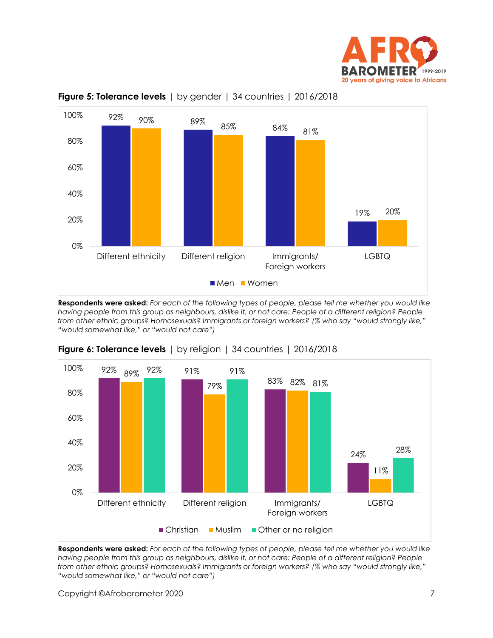



#### <span id="page-6-0"></span>**Figure 5: Tolerance levels** | by gender | 34 countries | 2016/2018

**Respondents were asked:** *For each of the following types of people, please tell me whether you would like having people from this group as neighbours, dislike it, or not care: People of a different religion? People from other ethnic groups? Homosexuals? Immigrants or foreign workers? (% who say "would strongly like," "would somewhat like," or "would not care")*



#### <span id="page-6-1"></span>**Figure 6: Tolerance levels** | by religion | 34 countries | 2016/2018

**Respondents were asked:** *For each of the following types of people, please tell me whether you would like having people from this group as neighbours, dislike it, or not care: People of a different religion? People from other ethnic groups? Homosexuals? Immigrants or foreign workers? (% who say "would strongly like," "would somewhat like," or "would not care")*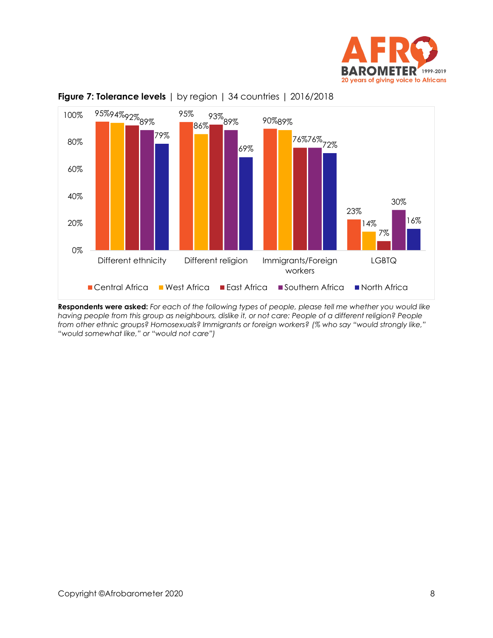



<span id="page-7-0"></span>

**Respondents were asked:** *For each of the following types of people, please tell me whether you would like having people from this group as neighbours, dislike it, or not care: People of a different religion? People from other ethnic groups? Homosexuals? Immigrants or foreign workers? (% who say "would strongly like," "would somewhat like," or "would not care")*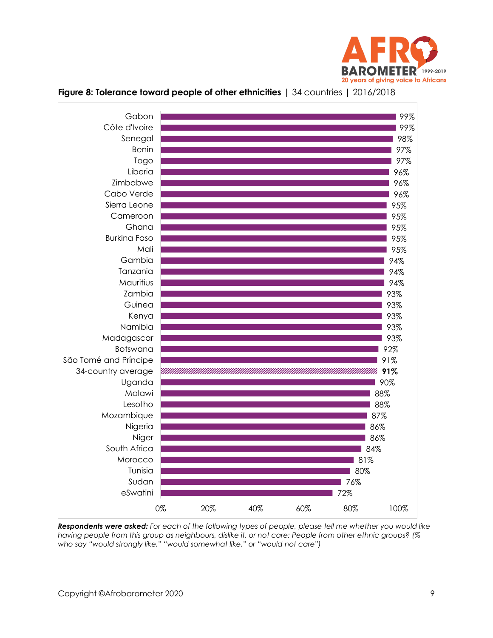



#### <span id="page-8-0"></span>**Figure 8: Tolerance toward people of other ethnicities** | 34 countries | 2016/2018

*Respondents were asked: For each of the following types of people, please tell me whether you would like having people from this group as neighbours, dislike it, or not care: People from other ethnic groups? (% who say "would strongly like," "would somewhat like," or "would not care")*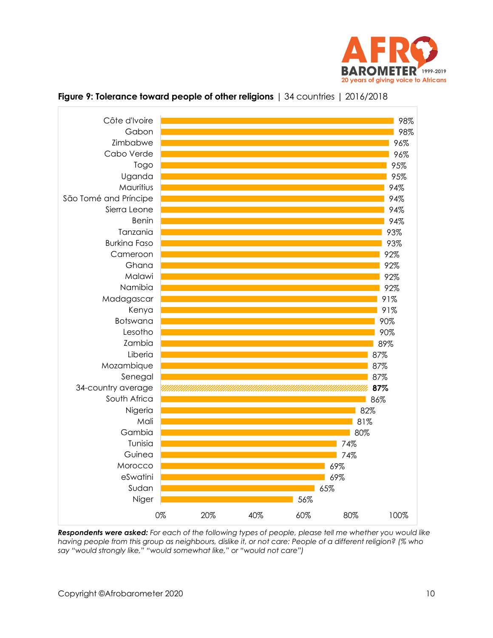



#### <span id="page-9-0"></span>**Figure 9: Tolerance toward people of other religions** | 34 countries | 2016/2018

*Respondents were asked: For each of the following types of people, please tell me whether you would like having people from this group as neighbours, dislike it, or not care: People of a different religion? (% who say "would strongly like," "would somewhat like," or "would not care")*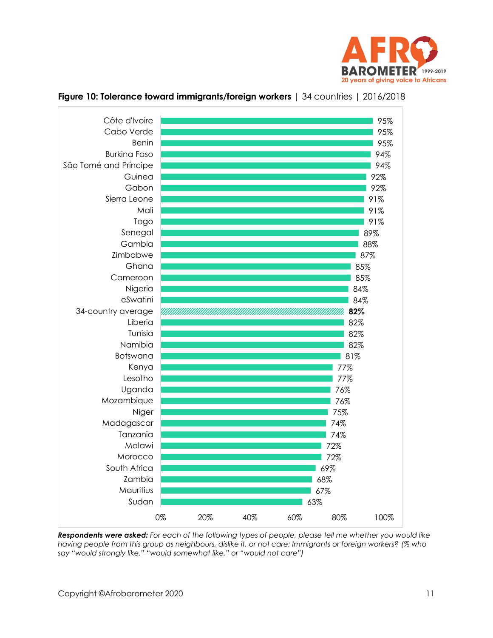



#### <span id="page-10-0"></span>**Figure 10: Tolerance toward immigrants/foreign workers** | 34 countries | 2016/2018

*Respondents were asked: For each of the following types of people, please tell me whether you would like having people from this group as neighbours, dislike it, or not care: Immigrants or foreign workers? (% who say "would strongly like," "would somewhat like," or "would not care")*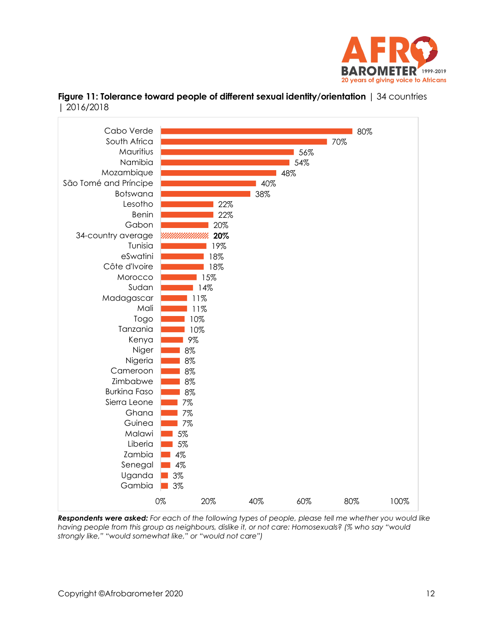

<span id="page-11-0"></span>



*Respondents were asked: For each of the following types of people, please tell me whether you would like having people from this group as neighbours, dislike it, or not care: Homosexuals? (% who say "would strongly like," "would somewhat like," or "would not care")*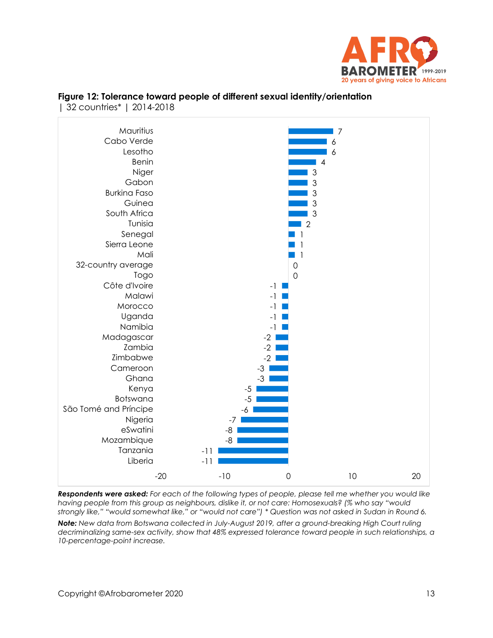



#### <span id="page-12-0"></span>**Figure 12: Tolerance toward people of different sexual identity/orientation**  | 32 countries\* | 2014-2018

*Respondents were asked: For each of the following types of people, please tell me whether you would like having people from this group as neighbours, dislike it, or not care: Homosexuals? (% who say "would strongly like," "would somewhat like," or "would not care") \* Question was not asked in Sudan in Round 6.*

*Note: New data from Botswana collected in July-August 2019, after a ground-breaking High Court ruling decriminalizing same-sex activity, show that 48% expressed tolerance toward people in such relationships, a 10-percentage-point increase.*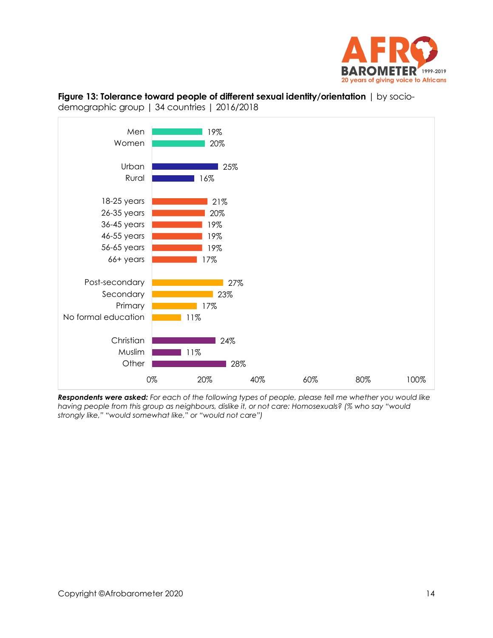



<span id="page-13-0"></span>**Figure 13: Tolerance toward people of different sexual identity/orientation** | by socio-

*Respondents were asked: For each of the following types of people, please tell me whether you would like having people from this group as neighbours, dislike it, or not care: Homosexuals? (% who say "would strongly like," "would somewhat like," or "would not care")*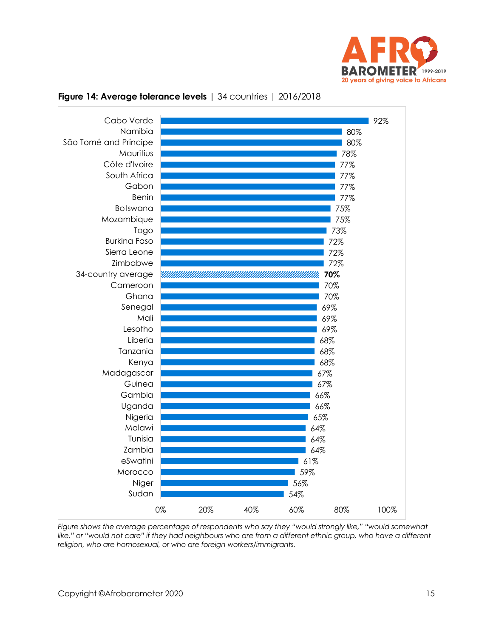



#### <span id="page-14-0"></span>**Figure 14: Average tolerance levels** | 34 countries | 2016/2018

*Figure shows the average percentage of respondents who say they "would strongly like," "would somewhat*  like," or "would not care" if they had neighbours who are from a different ethnic group, who have a different *religion, who are homosexual, or who are foreign workers/immigrants.*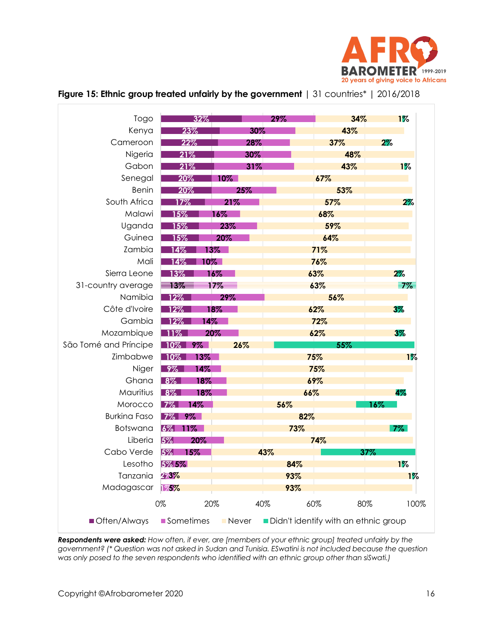

| Togo                  | 32%              |              | 29% | 34%                                  | $1\%$ |
|-----------------------|------------------|--------------|-----|--------------------------------------|-------|
| Kenya                 | 23%              | 30%          |     | 43%                                  |       |
| Cameroon              | 22%              | 28%          |     | 37%                                  | 2%    |
| Nigeria               | 21%              | 30%          |     | 48%                                  |       |
| Gabon                 | 21%              | 31%          |     | 43%                                  | $1\%$ |
| Senegal               | 20%              | $10\%$       |     | 67%                                  |       |
| <b>Benin</b>          | 20%              | 25%          |     | 53%                                  |       |
| South Africa          | 17%              | 21%          |     | 57%                                  | $2\%$ |
| Malawi                | 15%              | 16%          |     | 68%                                  |       |
| Uganda                | $15\%$           | 23%          |     | 59%                                  |       |
| Guinea                | 15%              | 20%          |     | 64%                                  |       |
| Zambia                | 14%              | $13\%$       |     | 71%                                  |       |
| Mali                  | 10 $\%$ .<br>14% |              |     | 76%                                  |       |
| Sierra Leone          | 13%              | 16%          |     | 63%                                  | $2\%$ |
| 31-country average    | $\equiv$ 3%      | 17%          |     | 63%                                  | 7%    |
| Namibia               | 12%              | 29%          |     | 56%                                  |       |
| Côte d'Ivoire         | 12%              | 18%          |     | 62%                                  | $3\%$ |
| Gambia                | 14%<br>12%       |              |     | 72%                                  |       |
| Mozambique            | $1\%$            | 20%          |     | 62%                                  | $3\%$ |
| São Tomé and Príncipe | $9\%$<br>$10\%$  | 26%          |     | 55%                                  |       |
| Zimbabwe              | $10\%$<br>13%    |              |     | 75%                                  | $1\%$ |
| Niger                 | 9%<br>14%        |              |     | 75%                                  |       |
| Ghana                 | 18%<br>$8\%$     |              |     | 69%                                  |       |
| Mauritius             | 8%<br>18%        |              | 66% |                                      | 4%    |
| Morocco               | $7\%$<br>14%     |              | 56% |                                      | 16%   |
| <b>Burkina Faso</b>   | $7\%$<br>$9\%$   |              | 82% |                                      |       |
| <b>Botswana</b>       | $6\%$<br>$11\%$  |              | 73% |                                      | 7%    |
| Liberia               | 5%<br>20%        |              |     | 74%                                  |       |
| Cabo Verde            | 5%<br>15%        |              | 43% | 37%                                  |       |
| Lesotho               | 5% 5%            |              | 84% |                                      | $1\%$ |
| Tanzania              | 273%             |              | 93% |                                      | $1\%$ |
| Madagascar            | 175%             |              | 93% |                                      |       |
|                       | 0%<br>20%        | 40%          |     | 60%<br>80%                           | 100%  |
| Often/Always          | ■ Sometimes      | <b>Never</b> |     | Didn't identify with an ethnic group |       |

## <span id="page-15-0"></span>**Figure 15: Ethnic group treated unfairly by the government** | 31 countries\* | 2016/2018

*Respondents were asked: How often, if ever, are [members of your ethnic group] treated unfairly by the government? (\* Question was not asked in Sudan and Tunisia. ESwatini is not included because the question was only posed to the seven respondents who identified with an ethnic group other than siSwati.)*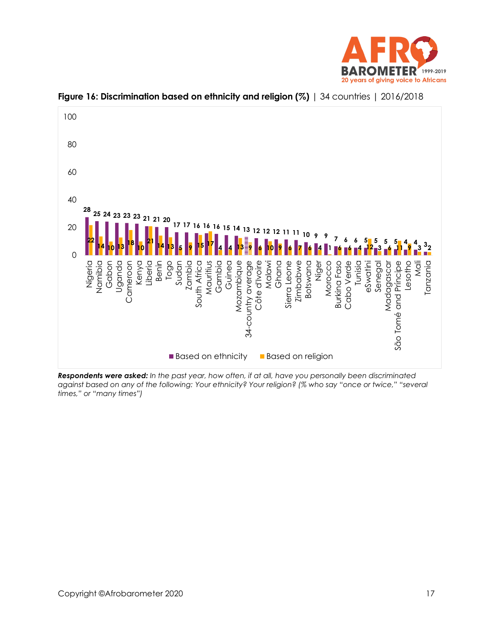



<span id="page-16-0"></span>**Figure 16: Discrimination based on ethnicity and religion (%)** | 34 countries | 2016/2018

*Respondents were asked: In the past year, how often, if at all, have you personally been discriminated against based on any of the following: Your ethnicity? Your religion? (% who say "once or twice," "several times," or "many times")*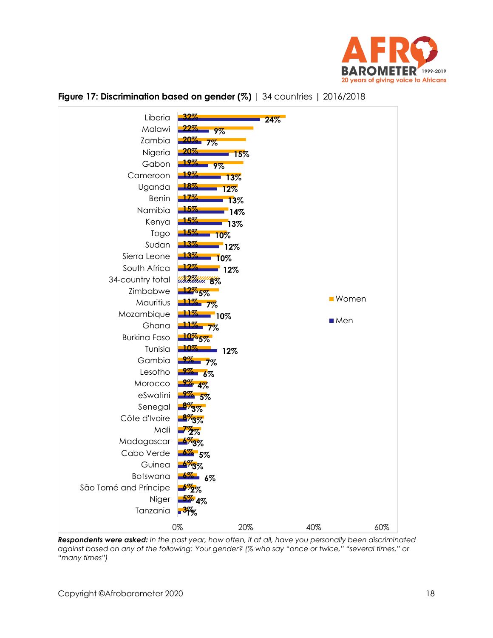



#### <span id="page-17-0"></span>**Figure 17: Discrimination based on gender (%)** | 34 countries | 2016/2018

*Respondents were asked: In the past year, how often, if at all, have you personally been discriminated against based on any of the following: Your gender? (% who say "once or twice," "several times," or "many times")*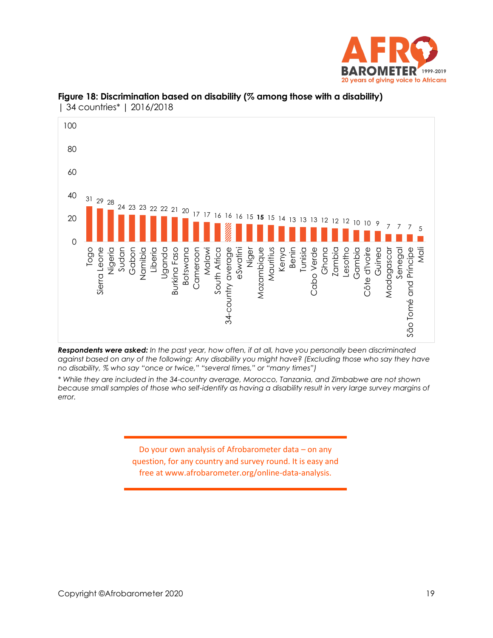



#### <span id="page-18-0"></span>**Figure 18: Discrimination based on disability (% among those with a disability)**  | 34 countries\* | 2016/2018

*Respondents were asked: In the past year, how often, if at all, have you personally been discriminated against based on any of the following: Any disability you might have? (Excluding those who say they have no disability, % who say "once or twice," "several times," or "many times")*

*\* While they are included in the 34-country average, Morocco, Tanzania, and Zimbabwe are not shown*  because small samples of those who self-identify as having a disability result in very large survey margins of *error.*

> Do your own analysis of Afrobarometer data – on any question, for any country and survey round. It is easy and free at www.afrobarometer.org/online-data-analysis.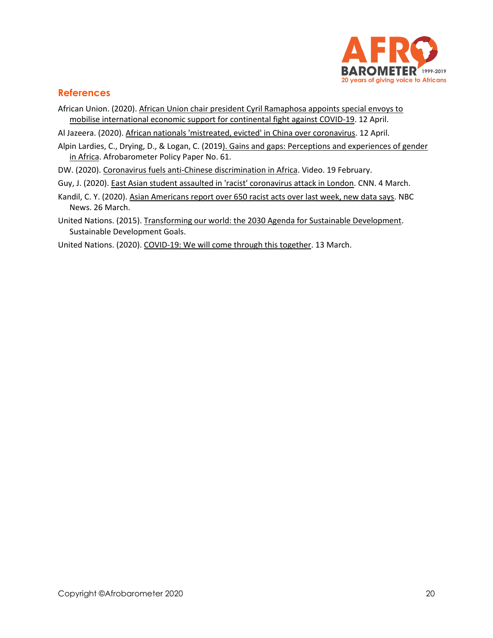

#### **References**

- African Union. (2020)[. African Union chair president Cyril Ramaphosa appoints special envoys to](https://au.int/en/pressreleases/20200412/african-union-chair-president-cyril-ramaphosa-appoints-special-envoys)  [mobilise international economic support for continental fight against COVID-19.](https://au.int/en/pressreleases/20200412/african-union-chair-president-cyril-ramaphosa-appoints-special-envoys) 12 April.
- Al Jazeera. (2020). [African nationals 'mistreated, evicted' in China over coronavirus.](https://www.aljazeera.com/news/2020/04/african-students-mistreated-evicted-china-coronavirus-200412100315200.html) 12 April.
- Alpin Lardies, C., Drying, D., & Logan, C. (201[9\). Gains and gaps: Perceptions and experiences of gender](http://afrobarometer.org/sites/default/files/publications/Policy%20papers/ab_r7_policypaperno61_gains_and_gaps_gender_perceptions_in_africa.pdf)  [in Africa.](http://afrobarometer.org/sites/default/files/publications/Policy%20papers/ab_r7_policypaperno61_gains_and_gaps_gender_perceptions_in_africa.pdf) Afrobarometer Policy Paper No. 61.
- DW. (2020). [Coronavirus fuels anti-Chinese discrimination in Africa.](https://www.dw.com/en/coronavirus-fuels-anti-chinese-discrimination-in-africa/av-52428454) Video. 19 February.
- Guy, J. (2020). [East Asian student assaulted in 'racist' coronavirus attack in London.](https://edition.cnn.com/2020/03/03/uk/coronavirus-assault-student-london-scli-intl-gbr/index.html) CNN. 4 March.
- Kandil, C. Y. (2020). [Asian Americans report over 650 racist acts over last week, new data says.](https://www.nbcnews.com/news/asian-america/asian-americans-report-nearly-500-racist-acts-over-last-week-n1169821) NBC News. 26 March.
- United Nations. (2015)[. Transforming our world: the 2030 Agenda for Sustainable Development.](https://sustainabledevelopment.un.org/post2015/transformingourworld) Sustainable Development Goals.
- United Nations. (2020)[. COVID-19: We will come through this together.](https://www.un.org/en/coronavirus/covid-19-we-will-come-through-together) 13 March.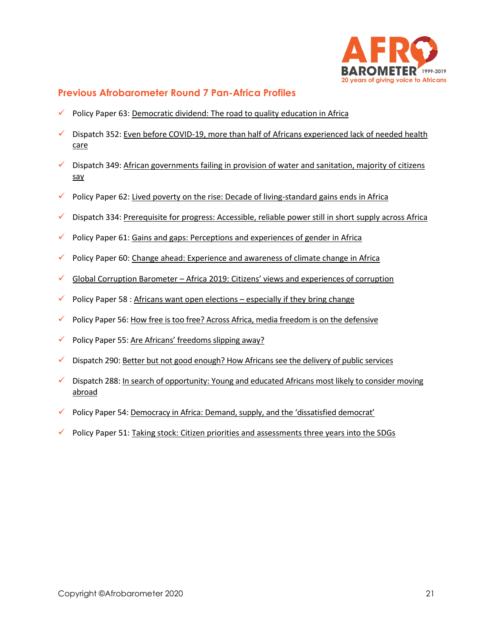

## **Previous Afrobarometer Round 7 Pan-Africa Profiles**

- Policy Paper 63: [Democratic dividend: The road to quality education in Africa](http://www.afrobarometer.org/)
- Dispatch 352: Even before COVID-19, more than half of Africans experienced lack of needed health [care](http://afrobarometer.org/sites/default/files/publications/Dispatches/ab_r7_dispatchno352_pap15_lack_of_healthcare_affects_majority_of_africans.pdf)
- $\checkmark$  Dispatch 349: African governments failing in provision of water and sanitation, majority of citizens [say](http://afrobarometer.org/publications/ad349-african-governments-failing-provision-water-and-sanitation-majority-citizens-say)
- $\checkmark$  Policy Paper 62: [Lived poverty on the rise: Decade of living-standard gains ends in Africa](http://afrobarometer.org/publications/pp62-lived-poverty-rise-decade-living-standard-gains-ends-africa)
- Dispatch 334[: Prerequisite for progress: Accessible, reliable power still in short supply across Africa](http://afrobarometer.org/publications/ad334-prerequisite-progress-accessible-reliable-power-still-short-supply-across-africa)
- $\checkmark$  Policy Paper 61: [Gains and gaps: Perceptions and experiences of gender in Africa](http://afrobarometer.org/publications/pp61-gains-and-gaps-perceptions-and-experiences-gender-africa)
- $\checkmark$  Policy Paper 60: [Change ahead: Experience and awareness of climate change in Africa](http://afrobarometer.org/publications/ad317-gambians-trust-armed-forces-are-split-over-presence-ecomig)
- $\checkmark$  Global Corruption Barometer [Africa 2019: Citizens' views and experiences of corruption](http://afrobarometer.org/publications/global-corruption-barometer-africa-2019-citizens-views-and-experiences-corruption)
- $\checkmark$  Policy Paper 58 : Africans want open elections [especially if they bring change](http://afrobarometer.org/publications/pp58-africans-want-open-elections-especially-if-they-bring-change)
- $\checkmark$  Policy Paper 56: [How free is too free? Across Africa, media freedom is on the defensive](http://afrobarometer.org/publications/pp56-how-free-too-free-across-africa-media-freedom-defensive)
- $\checkmark$  Policy Paper 55: [Are Africans' freedoms slipping away?](http://afrobarometer.org/sites/default/files/publications/Policy%20papers/ab_r7_policypaperno55_are_freedoms_slipping_away_in_africa_1.pdf)
- $\checkmark$  Dispatch 290: [Better but not good enough? How Africans see the delivery of public services](http://afrobarometer.org/publications/ad290-better-not-good-enough-how-africans-see-delivery-public-services)
- ✓ Dispatch 288: [In search of opportunity: Young and educated Africans most likely to consider moving](http://afrobarometer.org/publications/ad288-search-opportunity-young-and-educated-africans-most-likely-consider-moving-abroad)  [abroad](http://afrobarometer.org/publications/ad288-search-opportunity-young-and-educated-africans-most-likely-consider-moving-abroad)
- ✓ Policy Paper 54: [Democracy in Africa: Demand, supply, and the 'dissatisfied democrat'](http://afrobarometer.org/publications/pp54-democracy-africa-demand-supply-and-dissatisfied-democrat)
- $\checkmark$  Policy Paper 51: [Taking stock: Citizen priorities and assessments three years into the SDGs](http://afrobarometer.org/publications/pp51-taking-stock-citizen-priorities-and-assessments-three-years-sdgs)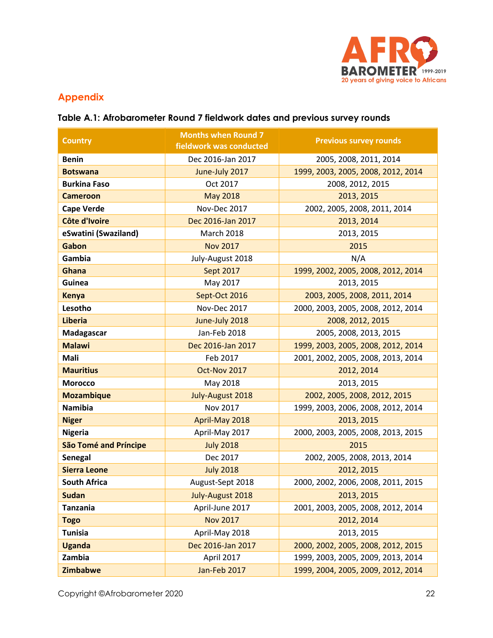

# **Appendix**

# **Table A.1: Afrobarometer Round 7 fieldwork dates and previous survey rounds**

| <b>Country</b>               | <b>Months when Round 7</b><br>fieldwork was conducted | <b>Previous survey rounds</b>      |  |  |
|------------------------------|-------------------------------------------------------|------------------------------------|--|--|
| <b>Benin</b>                 | Dec 2016-Jan 2017                                     | 2005, 2008, 2011, 2014             |  |  |
| <b>Botswana</b>              | June-July 2017                                        | 1999, 2003, 2005, 2008, 2012, 2014 |  |  |
| <b>Burkina Faso</b>          | Oct 2017                                              | 2008, 2012, 2015                   |  |  |
| <b>Cameroon</b>              | <b>May 2018</b>                                       | 2013, 2015                         |  |  |
| <b>Cape Verde</b>            | Nov-Dec 2017                                          | 2002, 2005, 2008, 2011, 2014       |  |  |
| Côte d'Ivoire                | Dec 2016-Jan 2017                                     | 2013, 2014                         |  |  |
| eSwatini (Swaziland)         | <b>March 2018</b>                                     | 2013, 2015                         |  |  |
| Gabon                        | <b>Nov 2017</b>                                       | 2015                               |  |  |
| Gambia                       | July-August 2018                                      | N/A                                |  |  |
| Ghana                        | Sept 2017                                             | 1999, 2002, 2005, 2008, 2012, 2014 |  |  |
| Guinea                       | May 2017                                              | 2013, 2015                         |  |  |
| <b>Kenya</b>                 | Sept-Oct 2016                                         | 2003, 2005, 2008, 2011, 2014       |  |  |
| Lesotho                      | Nov-Dec 2017                                          | 2000, 2003, 2005, 2008, 2012, 2014 |  |  |
| <b>Liberia</b>               | June-July 2018                                        | 2008, 2012, 2015                   |  |  |
| Madagascar                   | Jan-Feb 2018                                          | 2005, 2008, 2013, 2015             |  |  |
| <b>Malawi</b>                | Dec 2016-Jan 2017                                     | 1999, 2003, 2005, 2008, 2012, 2014 |  |  |
| Mali                         | Feb 2017                                              | 2001, 2002, 2005, 2008, 2013, 2014 |  |  |
| <b>Mauritius</b>             | Oct-Nov 2017                                          | 2012, 2014                         |  |  |
| <b>Morocco</b>               | May 2018                                              | 2013, 2015                         |  |  |
| <b>Mozambique</b>            | July-August 2018                                      | 2002, 2005, 2008, 2012, 2015       |  |  |
| <b>Namibia</b>               | Nov 2017                                              | 1999, 2003, 2006, 2008, 2012, 2014 |  |  |
| <b>Niger</b>                 | April-May 2018                                        | 2013, 2015                         |  |  |
| <b>Nigeria</b>               | April-May 2017                                        | 2000, 2003, 2005, 2008, 2013, 2015 |  |  |
| <b>São Tomé and Príncipe</b> | <b>July 2018</b>                                      | 2015                               |  |  |
| <b>Senegal</b>               | Dec 2017                                              | 2002, 2005, 2008, 2013, 2014       |  |  |
| <b>Sierra Leone</b>          | <b>July 2018</b>                                      | 2012, 2015                         |  |  |
| <b>South Africa</b>          | August-Sept 2018                                      | 2000, 2002, 2006, 2008, 2011, 2015 |  |  |
| <b>Sudan</b>                 | July-August 2018                                      | 2013, 2015                         |  |  |
| <b>Tanzania</b>              | April-June 2017                                       | 2001, 2003, 2005, 2008, 2012, 2014 |  |  |
| <b>Togo</b>                  | <b>Nov 2017</b>                                       | 2012, 2014                         |  |  |
| <b>Tunisia</b>               | April-May 2018                                        | 2013, 2015                         |  |  |
| <b>Uganda</b>                | Dec 2016-Jan 2017                                     | 2000, 2002, 2005, 2008, 2012, 2015 |  |  |
| Zambia                       | April 2017                                            | 1999, 2003, 2005, 2009, 2013, 2014 |  |  |
| <b>Zimbabwe</b>              | Jan-Feb 2017                                          | 1999, 2004, 2005, 2009, 2012, 2014 |  |  |